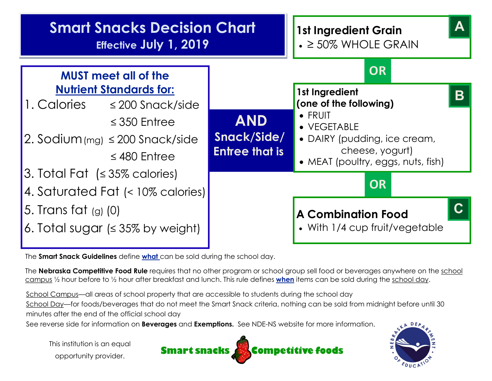

The **Smart Snack Guidelines** define what can be sold during the school day.

The Nebraska Competitive Food Rule requires that no other program or school group sell food or beverages anywhere on the school campus 1/2 hour before to 1/2 hour after breakfast and lunch. This rule defines when items can be sold during the school day.

School Campus—all areas of school property that are accessible to students during the school day School Day—for foods/beverages that do not meet the Smart Snack criteria, nothing can be sold from midnight before until 30 minutes after the end of the official school day

See reverse side for information on **Beverages** and **Exemptions.** See NDE-NS website for more information.

This institution is an equal opportunity provider.